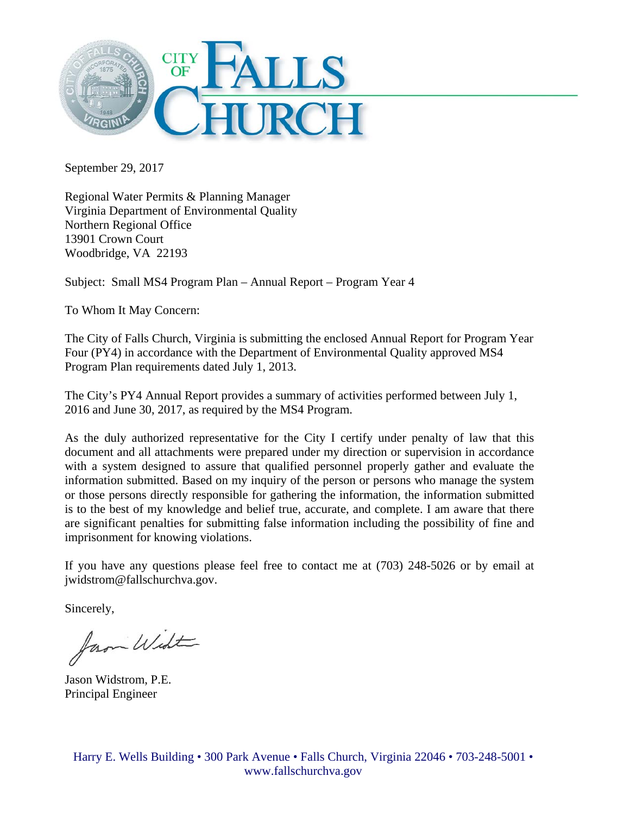

September 29, 2017

Regional Water Permits & Planning Manager Virginia Department of Environmental Quality Northern Regional Office 13901 Crown Court Woodbridge, VA 22193

Subject: Small MS4 Program Plan – Annual Report – Program Year 4

To Whom It May Concern:

The City of Falls Church, Virginia is submitting the enclosed Annual Report for Program Year Four (PY4) in accordance with the Department of Environmental Quality approved MS4 Program Plan requirements dated July 1, 2013.

The City's PY4 Annual Report provides a summary of activities performed between July 1, 2016 and June 30, 2017, as required by the MS4 Program.

As the duly authorized representative for the City I certify under penalty of law that this document and all attachments were prepared under my direction or supervision in accordance with a system designed to assure that qualified personnel properly gather and evaluate the information submitted. Based on my inquiry of the person or persons who manage the system or those persons directly responsible for gathering the information, the information submitted is to the best of my knowledge and belief true, accurate, and complete. I am aware that there are significant penalties for submitting false information including the possibility of fine and imprisonment for knowing violations.

If you have any questions please feel free to contact me at (703) 248-5026 or by email at jwidstrom@fallschurchva.gov.

Sincerely,

fam Widt

Jason Widstrom, P.E. Principal Engineer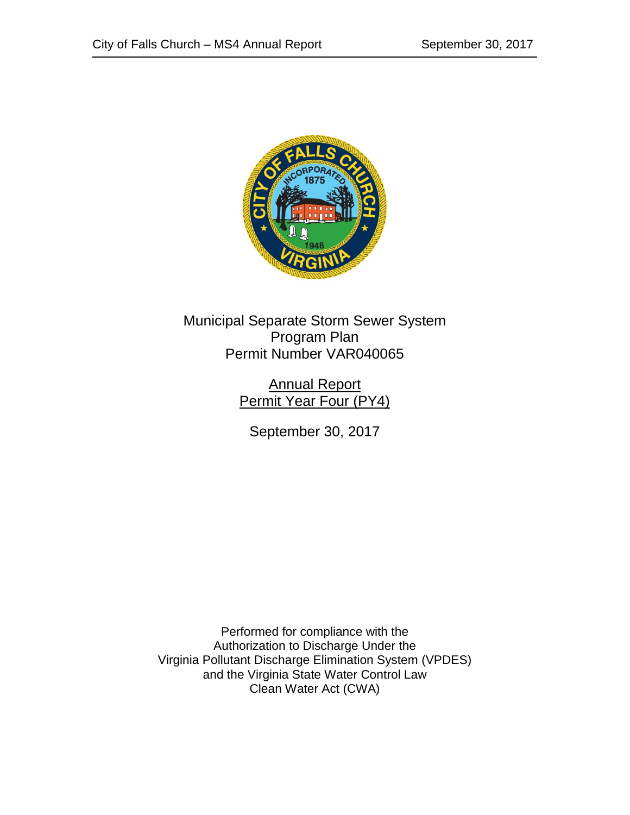

Municipal Separate Storm Sewer System Program Plan Permit Number VAR040065

> Annual Report Permit Year Four (PY4)

September 30, 2017

Performed for compliance with the Authorization to Discharge Under the Virginia Pollutant Discharge Elimination System (VPDES) and the Virginia State Water Control Law Clean Water Act (CWA)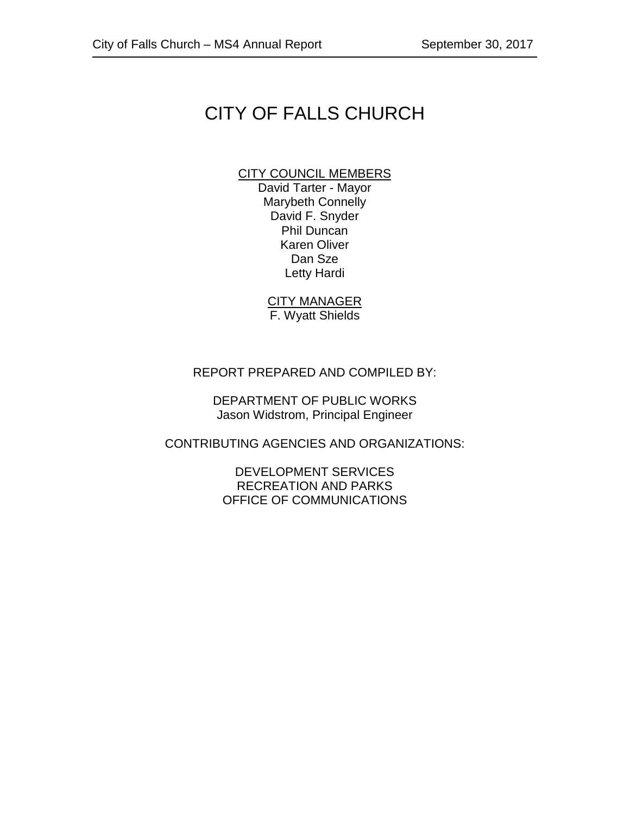# CITY OF FALLS CHURCH

### CITY COUNCIL MEMBERS

David Tarter - Mayor Marybeth Connelly David F. Snyder Phil Duncan Karen Oliver Dan Sze Letty Hardi

CITY MANAGER F. Wyatt Shields

#### REPORT PREPARED AND COMPILED BY:

DEPARTMENT OF PUBLIC WORKS Jason Widstrom, Principal Engineer

CONTRIBUTING AGENCIES AND ORGANIZATIONS:

DEVELOPMENT SERVICES RECREATION AND PARKS OFFICE OF COMMUNICATIONS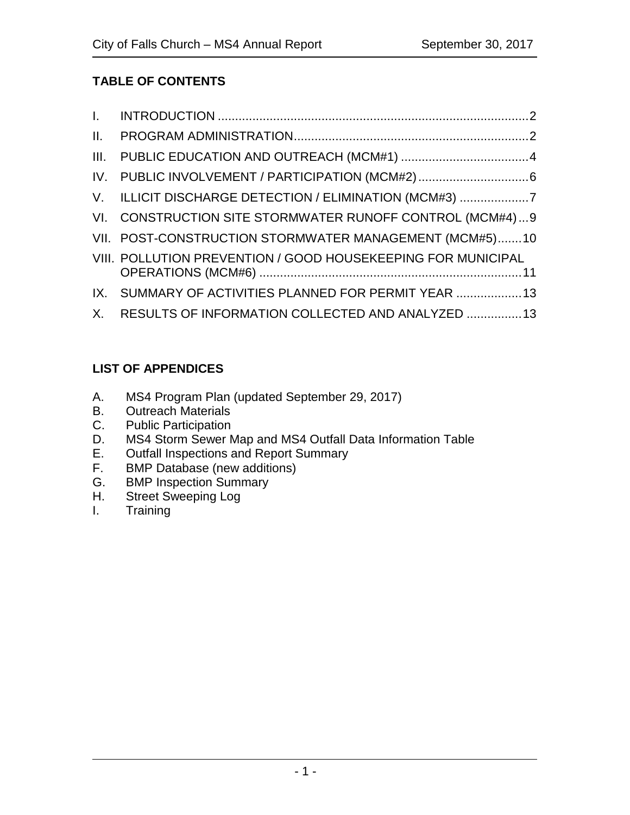# **TABLE OF CONTENTS**

| III. PUBLIC EDUCATION AND OUTREACH (MCM#1) 4                 |
|--------------------------------------------------------------|
| IV. PUBLIC INVOLVEMENT / PARTICIPATION (MCM#2)6              |
| V. ILLICIT DISCHARGE DETECTION / ELIMINATION (MCM#3) 7       |
| VI. CONSTRUCTION SITE STORMWATER RUNOFF CONTROL (MCM#4)9     |
| VII. POST-CONSTRUCTION STORMWATER MANAGEMENT (MCM#5)10       |
| VIII. POLLUTION PREVENTION / GOOD HOUSEKEEPING FOR MUNICIPAL |
| IX. SUMMARY OF ACTIVITIES PLANNED FOR PERMIT YEAR  13        |
| X. RESULTS OF INFORMATION COLLECTED AND ANALYZED 13          |

# **LIST OF APPENDICES**

- A. MS4 Program Plan (updated September 29, 2017)
- B. Outreach Materials<br>C. Public Participation
- Public Participation
- D. MS4 Storm Sewer Map and MS4 Outfall Data Information Table<br>E. Outfall Inspections and Report Summary
- E. Outfall Inspections and Report Summary<br>F. BMP Database (new additions)
- F. BMP Database (new additions)<br>G. BMP Inspection Summary
- G. BMP Inspection Summary<br>H. Street Sweeping Log
- H. Street Sweeping Log<br>I. Training
- **Training**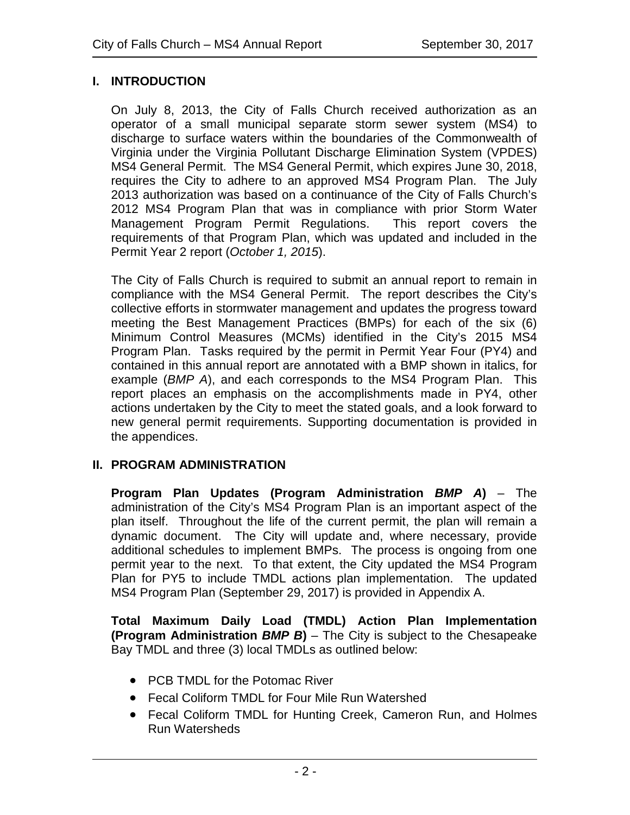## **I. INTRODUCTION**

On July 8, 2013, the City of Falls Church received authorization as an operator of a small municipal separate storm sewer system (MS4) to discharge to surface waters within the boundaries of the Commonwealth of Virginia under the Virginia Pollutant Discharge Elimination System (VPDES) MS4 General Permit. The MS4 General Permit, which expires June 30, 2018, requires the City to adhere to an approved MS4 Program Plan. The July 2013 authorization was based on a continuance of the City of Falls Church's 2012 MS4 Program Plan that was in compliance with prior Storm Water Management Program Permit Regulations. This report covers the requirements of that Program Plan, which was updated and included in the Permit Year 2 report (*October 1, 2015*).

The City of Falls Church is required to submit an annual report to remain in compliance with the MS4 General Permit. The report describes the City's collective efforts in stormwater management and updates the progress toward meeting the Best Management Practices (BMPs) for each of the six (6) Minimum Control Measures (MCMs) identified in the City's 2015 MS4 Program Plan. Tasks required by the permit in Permit Year Four (PY4) and contained in this annual report are annotated with a BMP shown in italics, for example (*BMP A*), and each corresponds to the MS4 Program Plan. This report places an emphasis on the accomplishments made in PY4, other actions undertaken by the City to meet the stated goals, and a look forward to new general permit requirements. Supporting documentation is provided in the appendices.

#### **II. PROGRAM ADMINISTRATION**

**Program Plan Updates (Program Administration** *BMP A***)** – The administration of the City's MS4 Program Plan is an important aspect of the plan itself. Throughout the life of the current permit, the plan will remain a dynamic document. The City will update and, where necessary, provide additional schedules to implement BMPs. The process is ongoing from one permit year to the next. To that extent, the City updated the MS4 Program Plan for PY5 to include TMDL actions plan implementation. The updated MS4 Program Plan (September 29, 2017) is provided in Appendix A.

**Total Maximum Daily Load (TMDL) Action Plan Implementation (Program Administration** *BMP B***)** – The City is subject to the Chesapeake Bay TMDL and three (3) local TMDLs as outlined below:

- PCB TMDL for the Potomac River
- Fecal Coliform TMDL for Four Mile Run Watershed
- Fecal Coliform TMDL for Hunting Creek, Cameron Run, and Holmes Run Watersheds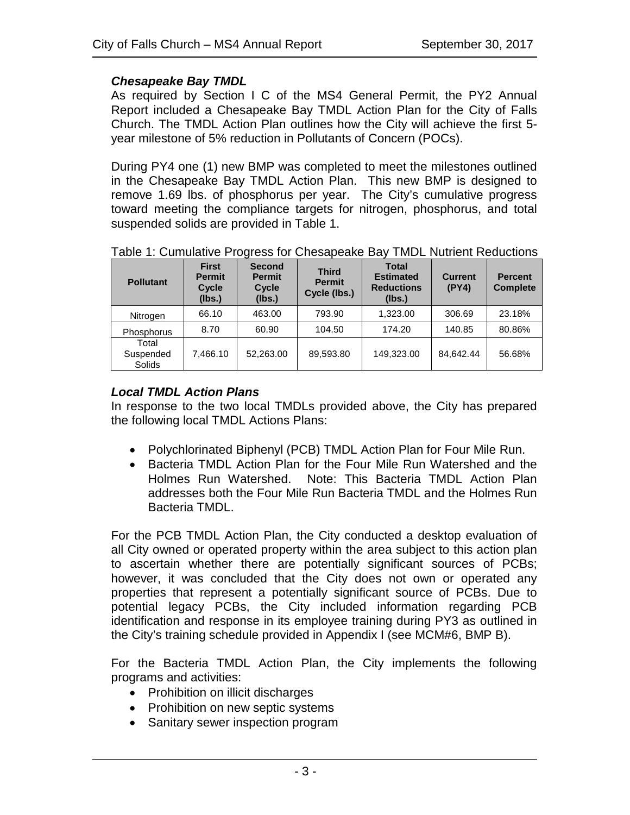## *Chesapeake Bay TMDL*

As required by Section I C of the MS4 General Permit, the PY2 Annual Report included a Chesapeake Bay TMDL Action Plan for the City of Falls Church. The TMDL Action Plan outlines how the City will achieve the first 5 year milestone of 5% reduction in Pollutants of Concern (POCs).

During PY4 one (1) new BMP was completed to meet the milestones outlined in the Chesapeake Bay TMDL Action Plan. This new BMP is designed to remove 1.69 lbs. of phosphorus per year. The City's cumulative progress toward meeting the compliance targets for nitrogen, phosphorus, and total suspended solids are provided in Table 1.

| <b>Pollutant</b>             | <b>First</b><br><b>Permit</b><br>Cycle<br>(lbs.) | <b>Second</b><br><b>Permit</b><br>Cycle<br>(lbs.) | <b>Third</b><br><b>Permit</b><br>Cycle (lbs.) | <b>Total</b><br><b>Estimated</b><br><b>Reductions</b><br>(lbs.) | <b>Current</b><br>(PY4) | <b>Percent</b><br><b>Complete</b> |
|------------------------------|--------------------------------------------------|---------------------------------------------------|-----------------------------------------------|-----------------------------------------------------------------|-------------------------|-----------------------------------|
| Nitrogen                     | 66.10                                            | 463.00                                            | 793.90                                        | 1,323.00                                                        | 306.69                  | 23.18%                            |
| Phosphorus                   | 8.70                                             | 60.90                                             | 104.50                                        | 174.20                                                          | 140.85                  | 80.86%                            |
| Total<br>Suspended<br>Solids | 7.466.10                                         | 52.263.00                                         | 89.593.80                                     | 149.323.00                                                      | 84.642.44               | 56.68%                            |

Table 1: Cumulative Progress for Chesapeake Bay TMDL Nutrient Reductions

## *Local TMDL Action Plans*

In response to the two local TMDLs provided above, the City has prepared the following local TMDL Actions Plans:

- Polychlorinated Biphenyl (PCB) TMDL Action Plan for Four Mile Run.
- Bacteria TMDL Action Plan for the Four Mile Run Watershed and the Holmes Run Watershed. Note: This Bacteria TMDL Action Plan addresses both the Four Mile Run Bacteria TMDL and the Holmes Run Bacteria TMDL.

For the PCB TMDL Action Plan, the City conducted a desktop evaluation of all City owned or operated property within the area subject to this action plan to ascertain whether there are potentially significant sources of PCBs; however, it was concluded that the City does not own or operated any properties that represent a potentially significant source of PCBs. Due to potential legacy PCBs, the City included information regarding PCB identification and response in its employee training during PY3 as outlined in the City's training schedule provided in Appendix I (see MCM#6, BMP B).

For the Bacteria TMDL Action Plan, the City implements the following programs and activities:

- Prohibition on illicit discharges
- Prohibition on new septic systems
- Sanitary sewer inspection program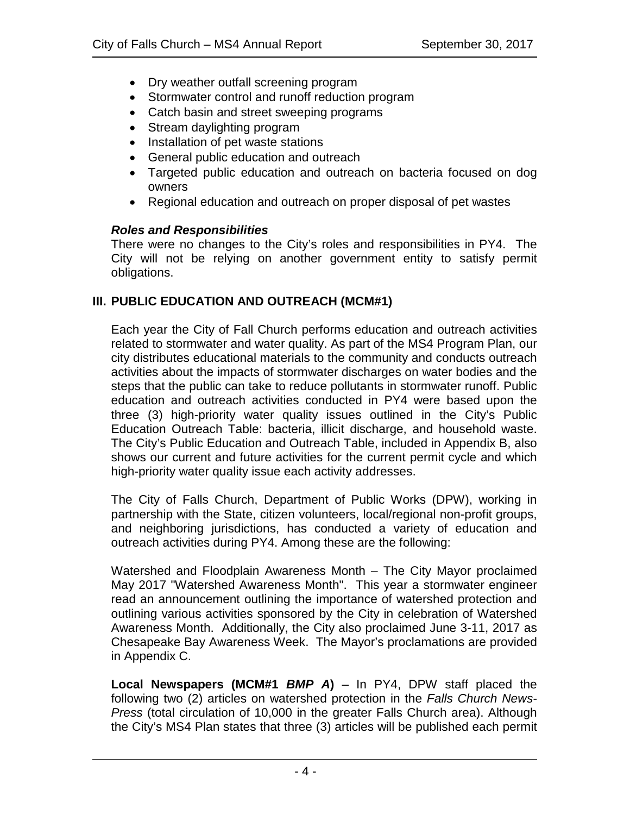- Dry weather outfall screening program
- Stormwater control and runoff reduction program
- Catch basin and street sweeping programs
- Stream daylighting program
- Installation of pet waste stations
- General public education and outreach
- Targeted public education and outreach on bacteria focused on dog owners
- Regional education and outreach on proper disposal of pet wastes

## *Roles and Responsibilities*

There were no changes to the City's roles and responsibilities in PY4. The City will not be relying on another government entity to satisfy permit obligations.

# **III. PUBLIC EDUCATION AND OUTREACH (MCM#1)**

Each year the City of Fall Church performs education and outreach activities related to stormwater and water quality. As part of the MS4 Program Plan, our city distributes educational materials to the community and conducts outreach activities about the impacts of stormwater discharges on water bodies and the steps that the public can take to reduce pollutants in stormwater runoff. Public education and outreach activities conducted in PY4 were based upon the three (3) high-priority water quality issues outlined in the City's Public Education Outreach Table: bacteria, illicit discharge, and household waste. The City's Public Education and Outreach Table, included in Appendix B, also shows our current and future activities for the current permit cycle and which high-priority water quality issue each activity addresses.

The City of Falls Church, Department of Public Works (DPW), working in partnership with the State, citizen volunteers, local/regional non-profit groups, and neighboring jurisdictions, has conducted a variety of education and outreach activities during PY4. Among these are the following:

Watershed and Floodplain Awareness Month – The City Mayor proclaimed May 2017 "Watershed Awareness Month". This year a stormwater engineer read an announcement outlining the importance of watershed protection and outlining various activities sponsored by the City in celebration of Watershed Awareness Month. Additionally, the City also proclaimed June 3-11, 2017 as Chesapeake Bay Awareness Week. The Mayor's proclamations are provided in Appendix C.

**Local Newspapers (MCM#1** *BMP A***)** – In PY4, DPW staff placed the following two (2) articles on watershed protection in the *Falls Church News-Press* (total circulation of 10,000 in the greater Falls Church area). Although the City's MS4 Plan states that three (3) articles will be published each permit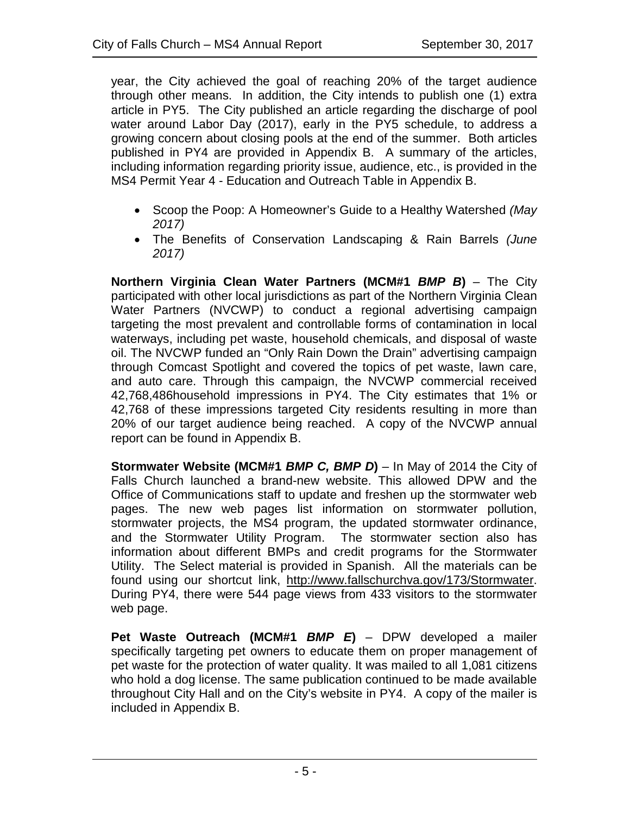year, the City achieved the goal of reaching 20% of the target audience through other means. In addition, the City intends to publish one (1) extra article in PY5. The City published an article regarding the discharge of pool water around Labor Day (2017), early in the PY5 schedule, to address a growing concern about closing pools at the end of the summer. Both articles published in PY4 are provided in Appendix B. A summary of the articles, including information regarding priority issue, audience, etc., is provided in the MS4 Permit Year 4 - Education and Outreach Table in Appendix B.

- Scoop the Poop: A Homeowner's Guide to a Healthy Watershed *(May 2017)*
- The Benefits of Conservation Landscaping & Rain Barrels *(June 2017)*

**Northern Virginia Clean Water Partners (MCM#1** *BMP B***)** – The City participated with other local jurisdictions as part of the Northern Virginia Clean Water Partners (NVCWP) to conduct a regional advertising campaign targeting the most prevalent and controllable forms of contamination in local waterways, including pet waste, household chemicals, and disposal of waste oil. The NVCWP funded an "Only Rain Down the Drain" advertising campaign through Comcast Spotlight and covered the topics of pet waste, lawn care, and auto care. Through this campaign, the NVCWP commercial received 42,768,486household impressions in PY4. The City estimates that 1% or 42,768 of these impressions targeted City residents resulting in more than 20% of our target audience being reached. A copy of the NVCWP annual report can be found in Appendix B.

**Stormwater Website (MCM#1** *BMP C, BMP D***)** – In May of 2014 the City of Falls Church launched a brand-new website. This allowed DPW and the Office of Communications staff to update and freshen up the stormwater web pages. The new web pages list information on stormwater pollution, stormwater projects, the MS4 program, the updated stormwater ordinance, and the Stormwater Utility Program. The stormwater section also has information about different BMPs and credit programs for the Stormwater Utility. The Select material is provided in Spanish. All the materials can be found using our shortcut link, [http://www.fallschurchva.gov/173/Stormwater.](http://www.fallschurchva.gov/173/Stormwater) During PY4, there were 544 page views from 433 visitors to the stormwater web page.

**Pet Waste Outreach (MCM#1** *BMP E***)** – DPW developed a mailer specifically targeting pet owners to educate them on proper management of pet waste for the protection of water quality. It was mailed to all 1,081 citizens who hold a dog license. The same publication continued to be made available throughout City Hall and on the City's website in PY4. A copy of the mailer is included in Appendix B.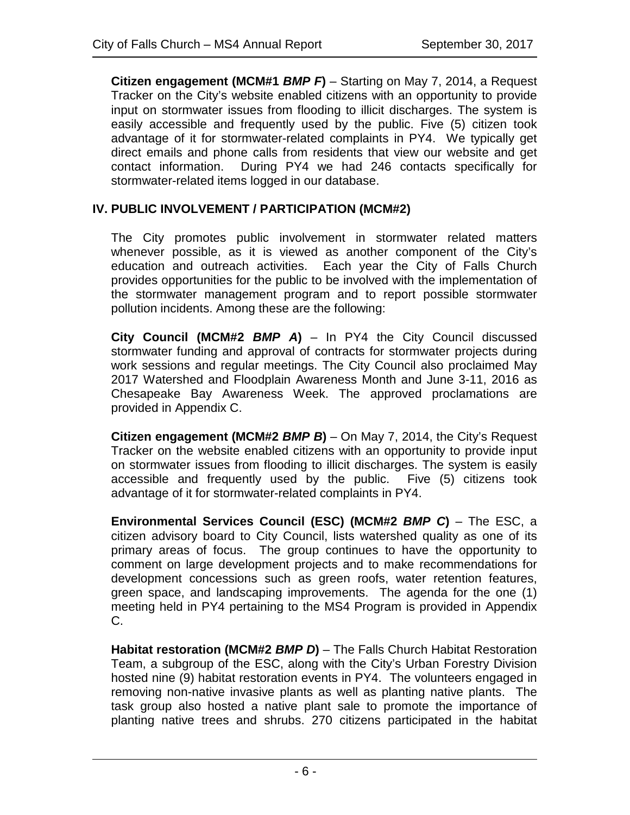**Citizen engagement (MCM#1** *BMP F***)** – Starting on May 7, 2014, a Request Tracker on the City's website enabled citizens with an opportunity to provide input on stormwater issues from flooding to illicit discharges. The system is easily accessible and frequently used by the public. Five (5) citizen took advantage of it for stormwater-related complaints in PY4. We typically get direct emails and phone calls from residents that view our website and get contact information. During PY4 we had 246 contacts specifically for stormwater-related items logged in our database.

## **IV. PUBLIC INVOLVEMENT / PARTICIPATION (MCM#2)**

The City promotes public involvement in stormwater related matters whenever possible, as it is viewed as another component of the City's education and outreach activities. Each year the City of Falls Church provides opportunities for the public to be involved with the implementation of the stormwater management program and to report possible stormwater pollution incidents. Among these are the following:

**City Council (MCM#2** *BMP A***)** – In PY4 the City Council discussed stormwater funding and approval of contracts for stormwater projects during work sessions and regular meetings. The City Council also proclaimed May 2017 Watershed and Floodplain Awareness Month and June 3-11, 2016 as Chesapeake Bay Awareness Week. The approved proclamations are provided in Appendix C.

**Citizen engagement (MCM#2** *BMP B***)** – On May 7, 2014, the City's Request Tracker on the website enabled citizens with an opportunity to provide input on stormwater issues from flooding to illicit discharges. The system is easily accessible and frequently used by the public. Five (5) citizens took advantage of it for stormwater-related complaints in PY4.

**Environmental Services Council (ESC) (MCM#2** *BMP C***)** – The ESC, a citizen advisory board to City Council, lists watershed quality as one of its primary areas of focus. The group continues to have the opportunity to comment on large development projects and to make recommendations for development concessions such as green roofs, water retention features, green space, and landscaping improvements. The agenda for the one (1) meeting held in PY4 pertaining to the MS4 Program is provided in Appendix C.

**Habitat restoration (MCM#2** *BMP D***)** – The Falls Church Habitat Restoration Team, a subgroup of the ESC, along with the City's Urban Forestry Division hosted nine (9) habitat restoration events in PY4. The volunteers engaged in removing non-native invasive plants as well as planting native plants. The task group also hosted a native plant sale to promote the importance of planting native trees and shrubs. 270 citizens participated in the habitat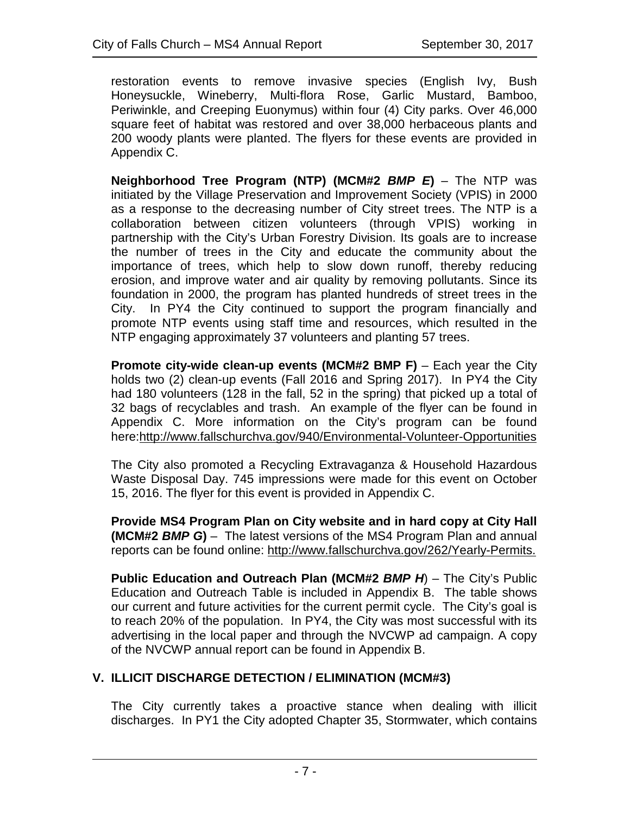restoration events to remove invasive species (English Ivy, Bush Honeysuckle, Wineberry, Multi-flora Rose, Garlic Mustard, Bamboo, Periwinkle, and Creeping Euonymus) within four (4) City parks. Over 46,000 square feet of habitat was restored and over 38,000 herbaceous plants and 200 woody plants were planted. The flyers for these events are provided in Appendix C.

**Neighborhood Tree Program (NTP) (MCM#2** *BMP E***)** – The NTP was initiated by the Village Preservation and Improvement Society (VPIS) in 2000 as a response to the decreasing number of City street trees. The NTP is a collaboration between citizen volunteers (through VPIS) working in partnership with the City's Urban Forestry Division. Its goals are to increase the number of trees in the City and educate the community about the importance of trees, which help to slow down runoff, thereby reducing erosion, and improve water and air quality by removing pollutants. Since its foundation in 2000, the program has planted hundreds of street trees in the City. In PY4 the City continued to support the program financially and promote NTP events using staff time and resources, which resulted in the NTP engaging approximately 37 volunteers and planting 57 trees.

**Promote city-wide clean-up events (MCM#2 BMP F)** – Each year the City holds two (2) clean-up events (Fall 2016 and Spring 2017). In PY4 the City had 180 volunteers (128 in the fall, 52 in the spring) that picked up a total of 32 bags of recyclables and trash. An example of the flyer can be found in Appendix C. More information on the City's program can be found here[:http://www.fallschurchva.gov/940/Environmental-Volunteer-Opportunities](http://www.fallschurchva.gov/940/Environmental-Volunteer-Opportunities)

The City also promoted a Recycling Extravaganza & Household Hazardous Waste Disposal Day. 745 impressions were made for this event on October 15, 2016. The flyer for this event is provided in Appendix C.

**Provide MS4 Program Plan on City website and in hard copy at City Hall (MCM#2** *BMP G***)** – The latest versions of the MS4 Program Plan and annual reports can be found online: [http://www.fallschurchva.gov/262/Yearly-Permits.](http://www.fallschurchva.gov/262/Yearly-Permits)

**Public Education and Outreach Plan (MCM#2** *BMP H*) – The City's Public Education and Outreach Table is included in Appendix B. The table shows our current and future activities for the current permit cycle. The City's goal is to reach 20% of the population. In PY4, the City was most successful with its advertising in the local paper and through the NVCWP ad campaign. A copy of the NVCWP annual report can be found in Appendix B.

## **V. ILLICIT DISCHARGE DETECTION / ELIMINATION (MCM#3)**

The City currently takes a proactive stance when dealing with illicit discharges. In PY1 the City adopted Chapter 35, Stormwater, which contains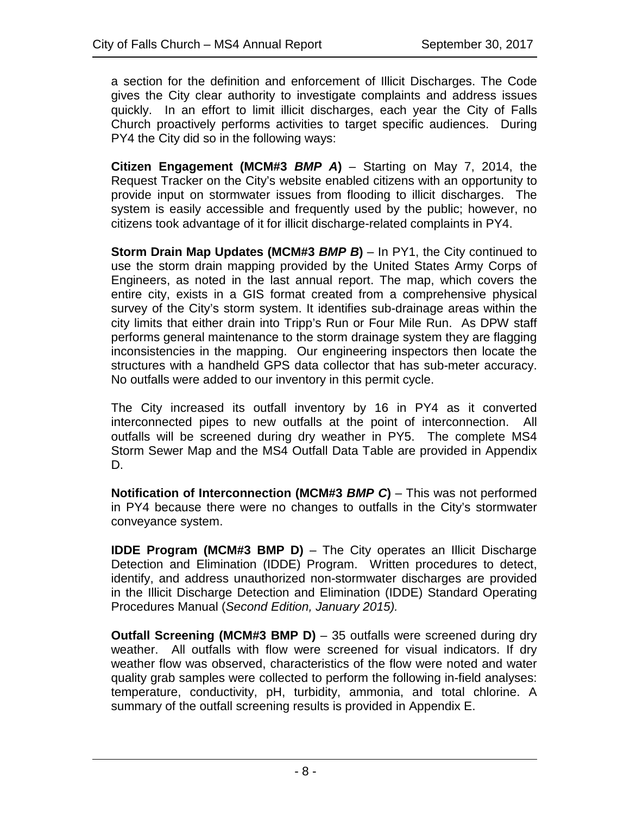a section for the definition and enforcement of Illicit Discharges. The Code gives the City clear authority to investigate complaints and address issues quickly. In an effort to limit illicit discharges, each year the City of Falls Church proactively performs activities to target specific audiences. During PY4 the City did so in the following ways:

**Citizen Engagement (MCM#3** *BMP A***)** – Starting on May 7, 2014, the Request Tracker on the City's website enabled citizens with an opportunity to provide input on stormwater issues from flooding to illicit discharges. The system is easily accessible and frequently used by the public; however, no citizens took advantage of it for illicit discharge-related complaints in PY4.

**Storm Drain Map Updates (MCM#3** *BMP B***)** – In PY1, the City continued to use the storm drain mapping provided by the United States Army Corps of Engineers, as noted in the last annual report. The map, which covers the entire city, exists in a GIS format created from a comprehensive physical survey of the City's storm system. It identifies sub-drainage areas within the city limits that either drain into Tripp's Run or Four Mile Run. As DPW staff performs general maintenance to the storm drainage system they are flagging inconsistencies in the mapping. Our engineering inspectors then locate the structures with a handheld GPS data collector that has sub-meter accuracy. No outfalls were added to our inventory in this permit cycle.

The City increased its outfall inventory by 16 in PY4 as it converted interconnected pipes to new outfalls at the point of interconnection. All outfalls will be screened during dry weather in PY5. The complete MS4 Storm Sewer Map and the MS4 Outfall Data Table are provided in Appendix D.

**Notification of Interconnection (MCM#3** *BMP C***)** – This was not performed in PY4 because there were no changes to outfalls in the City's stormwater conveyance system.

**IDDE Program (MCM#3 BMP D)** – The City operates an Illicit Discharge Detection and Elimination (IDDE) Program. Written procedures to detect, identify, and address unauthorized non-stormwater discharges are provided in the Illicit Discharge Detection and Elimination (IDDE) Standard Operating Procedures Manual (*Second Edition, January 2015).*

**Outfall Screening (MCM#3 BMP D)** – 35 outfalls were screened during dry weather. All outfalls with flow were screened for visual indicators. If dry weather flow was observed, characteristics of the flow were noted and water quality grab samples were collected to perform the following in-field analyses: temperature, conductivity, pH, turbidity, ammonia, and total chlorine. A summary of the outfall screening results is provided in Appendix E.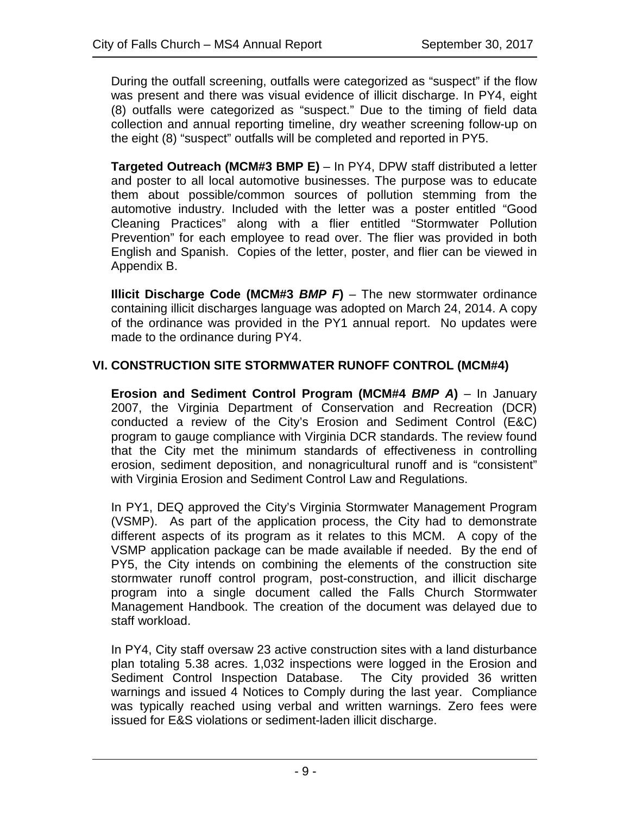During the outfall screening, outfalls were categorized as "suspect" if the flow was present and there was visual evidence of illicit discharge. In PY4, eight (8) outfalls were categorized as "suspect." Due to the timing of field data collection and annual reporting timeline, dry weather screening follow-up on the eight (8) "suspect" outfalls will be completed and reported in PY5.

**Targeted Outreach (MCM#3 BMP E)** – In PY4, DPW staff distributed a letter and poster to all local automotive businesses. The purpose was to educate them about possible/common sources of pollution stemming from the automotive industry. Included with the letter was a poster entitled "Good Cleaning Practices" along with a flier entitled "Stormwater Pollution Prevention" for each employee to read over. The flier was provided in both English and Spanish. Copies of the letter, poster, and flier can be viewed in Appendix B.

**Illicit Discharge Code (MCM#3** *BMP F***)** – The new stormwater ordinance containing illicit discharges language was adopted on March 24, 2014. A copy of the ordinance was provided in the PY1 annual report. No updates were made to the ordinance during PY4.

## **VI. CONSTRUCTION SITE STORMWATER RUNOFF CONTROL (MCM#4)**

**Erosion and Sediment Control Program (MCM#4** *BMP A***)** – In January 2007, the Virginia Department of Conservation and Recreation (DCR) conducted a review of the City's Erosion and Sediment Control (E&C) program to gauge compliance with Virginia DCR standards. The review found that the City met the minimum standards of effectiveness in controlling erosion, sediment deposition, and nonagricultural runoff and is "consistent" with Virginia Erosion and Sediment Control Law and Regulations.

In PY1, DEQ approved the City's Virginia Stormwater Management Program (VSMP). As part of the application process, the City had to demonstrate different aspects of its program as it relates to this MCM. A copy of the VSMP application package can be made available if needed. By the end of PY5, the City intends on combining the elements of the construction site stormwater runoff control program, post-construction, and illicit discharge program into a single document called the Falls Church Stormwater Management Handbook. The creation of the document was delayed due to staff workload.

In PY4, City staff oversaw 23 active construction sites with a land disturbance plan totaling 5.38 acres. 1,032 inspections were logged in the Erosion and Sediment Control Inspection Database. The City provided 36 written warnings and issued 4 Notices to Comply during the last year. Compliance was typically reached using verbal and written warnings. Zero fees were issued for E&S violations or sediment-laden illicit discharge.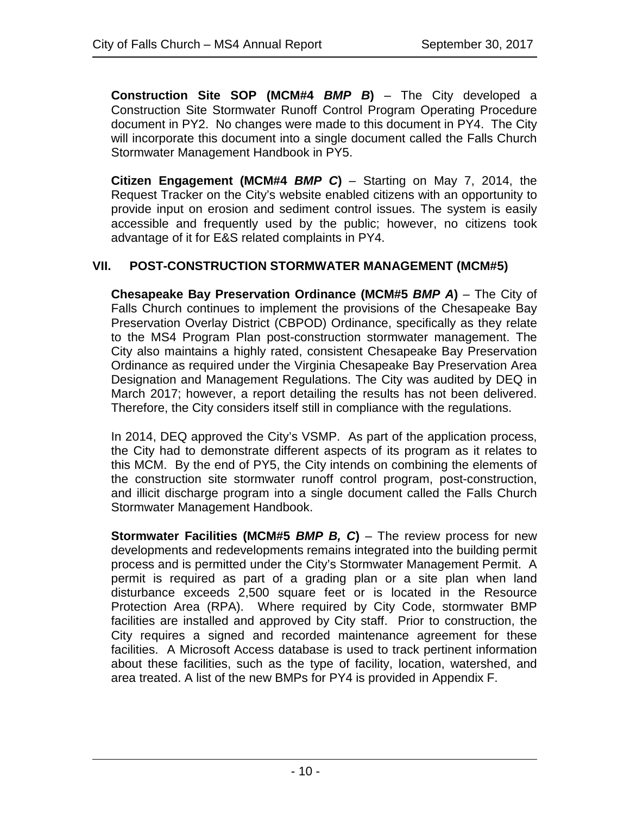**Construction Site SOP (MCM#4** *BMP B***)** – The City developed a Construction Site Stormwater Runoff Control Program Operating Procedure document in PY2. No changes were made to this document in PY4. The City will incorporate this document into a single document called the Falls Church Stormwater Management Handbook in PY5.

**Citizen Engagement (MCM#4** *BMP C***)** – Starting on May 7, 2014, the Request Tracker on the City's website enabled citizens with an opportunity to provide input on erosion and sediment control issues. The system is easily accessible and frequently used by the public; however, no citizens took advantage of it for E&S related complaints in PY4.

## **VII. POST-CONSTRUCTION STORMWATER MANAGEMENT (MCM#5)**

**Chesapeake Bay Preservation Ordinance (MCM#5** *BMP A***)** – The City of Falls Church continues to implement the provisions of the Chesapeake Bay Preservation Overlay District (CBPOD) Ordinance, specifically as they relate to the MS4 Program Plan post-construction stormwater management. The City also maintains a highly rated, consistent Chesapeake Bay Preservation Ordinance as required under the Virginia Chesapeake Bay Preservation Area Designation and Management Regulations. The City was audited by DEQ in March 2017; however, a report detailing the results has not been delivered. Therefore, the City considers itself still in compliance with the regulations.

In 2014, DEQ approved the City's VSMP. As part of the application process, the City had to demonstrate different aspects of its program as it relates to this MCM. By the end of PY5, the City intends on combining the elements of the construction site stormwater runoff control program, post-construction, and illicit discharge program into a single document called the Falls Church Stormwater Management Handbook.

**Stormwater Facilities (MCM#5** *BMP B, C***)** – The review process for new developments and redevelopments remains integrated into the building permit process and is permitted under the City's Stormwater Management Permit. A permit is required as part of a grading plan or a site plan when land disturbance exceeds 2,500 square feet or is located in the Resource Protection Area (RPA). Where required by City Code, stormwater BMP facilities are installed and approved by City staff. Prior to construction, the City requires a signed and recorded maintenance agreement for these facilities. A Microsoft Access database is used to track pertinent information about these facilities, such as the type of facility, location, watershed, and area treated. A list of the new BMPs for PY4 is provided in Appendix F.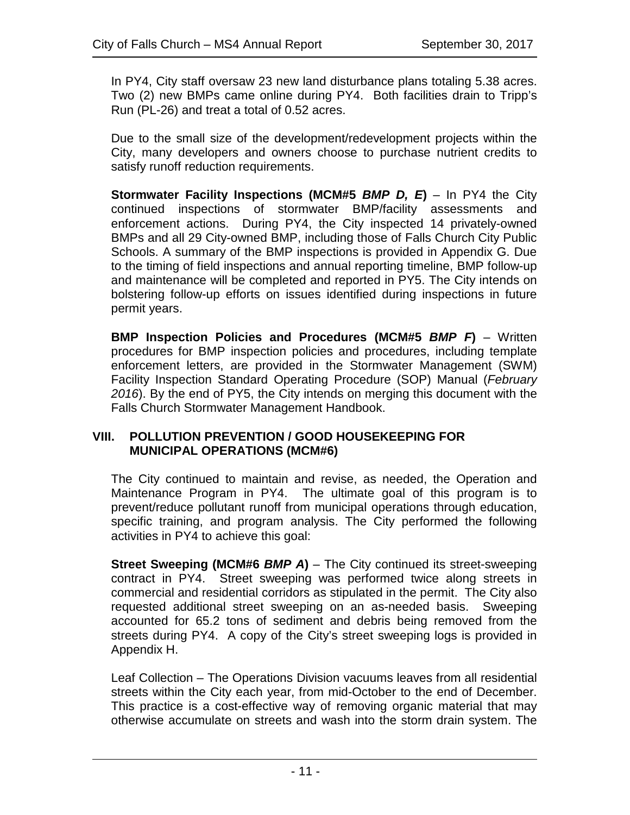In PY4, City staff oversaw 23 new land disturbance plans totaling 5.38 acres. Two (2) new BMPs came online during PY4. Both facilities drain to Tripp's Run (PL-26) and treat a total of 0.52 acres.

Due to the small size of the development/redevelopment projects within the City, many developers and owners choose to purchase nutrient credits to satisfy runoff reduction requirements.

**Stormwater Facility Inspections (MCM#5** *BMP D, E***)** – In PY4 the City continued inspections of stormwater BMP/facility assessments and enforcement actions. During PY4, the City inspected 14 privately-owned BMPs and all 29 City-owned BMP, including those of Falls Church City Public Schools. A summary of the BMP inspections is provided in Appendix G. Due to the timing of field inspections and annual reporting timeline, BMP follow-up and maintenance will be completed and reported in PY5. The City intends on bolstering follow-up efforts on issues identified during inspections in future permit years.

**BMP Inspection Policies and Procedures (MCM#5** *BMP F***)** – Written procedures for BMP inspection policies and procedures, including template enforcement letters, are provided in the Stormwater Management (SWM) Facility Inspection Standard Operating Procedure (SOP) Manual (*February 2016*). By the end of PY5, the City intends on merging this document with the Falls Church Stormwater Management Handbook.

### **VIII. POLLUTION PREVENTION / GOOD HOUSEKEEPING FOR MUNICIPAL OPERATIONS (MCM#6)**

The City continued to maintain and revise, as needed, the Operation and Maintenance Program in PY4. The ultimate goal of this program is to prevent/reduce pollutant runoff from municipal operations through education, specific training, and program analysis. The City performed the following activities in PY4 to achieve this goal:

**Street Sweeping (MCM#6** *BMP A***)** – The City continued its street-sweeping contract in PY4. Street sweeping was performed twice along streets in commercial and residential corridors as stipulated in the permit. The City also requested additional street sweeping on an as-needed basis. Sweeping accounted for 65.2 tons of sediment and debris being removed from the streets during PY4. A copy of the City's street sweeping logs is provided in Appendix H.

Leaf Collection – The Operations Division vacuums leaves from all residential streets within the City each year, from mid-October to the end of December. This practice is a cost-effective way of removing organic material that may otherwise accumulate on streets and wash into the storm drain system. The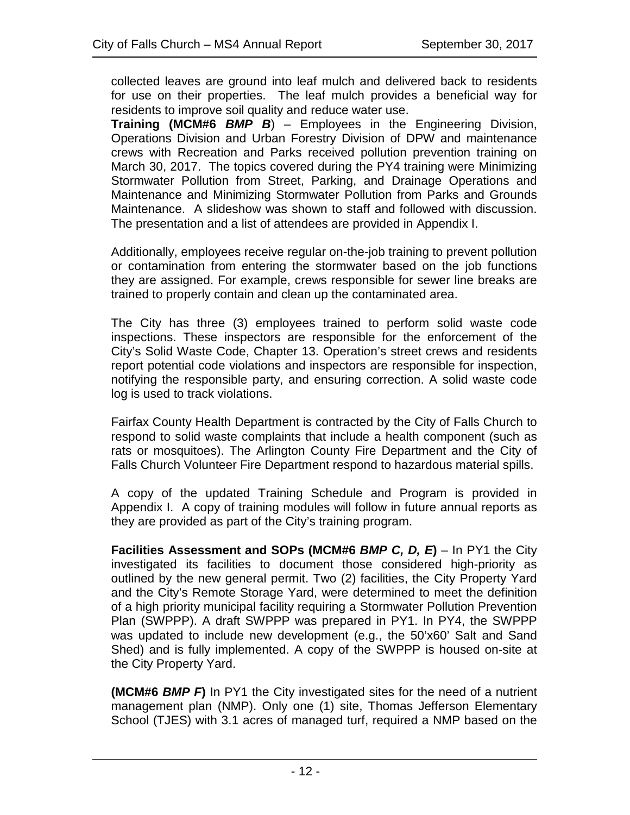collected leaves are ground into leaf mulch and delivered back to residents for use on their properties. The leaf mulch provides a beneficial way for residents to improve soil quality and reduce water use.

**Training (MCM#6** *BMP B*) – Employees in the Engineering Division, Operations Division and Urban Forestry Division of DPW and maintenance crews with Recreation and Parks received pollution prevention training on March 30, 2017. The topics covered during the PY4 training were Minimizing Stormwater Pollution from Street, Parking, and Drainage Operations and Maintenance and Minimizing Stormwater Pollution from Parks and Grounds Maintenance. A slideshow was shown to staff and followed with discussion. The presentation and a list of attendees are provided in Appendix I.

Additionally, employees receive regular on-the-job training to prevent pollution or contamination from entering the stormwater based on the job functions they are assigned. For example, crews responsible for sewer line breaks are trained to properly contain and clean up the contaminated area.

The City has three (3) employees trained to perform solid waste code inspections. These inspectors are responsible for the enforcement of the City's Solid Waste Code, Chapter 13. Operation's street crews and residents report potential code violations and inspectors are responsible for inspection, notifying the responsible party, and ensuring correction. A solid waste code log is used to track violations.

Fairfax County Health Department is contracted by the City of Falls Church to respond to solid waste complaints that include a health component (such as rats or mosquitoes). The Arlington County Fire Department and the City of Falls Church Volunteer Fire Department respond to hazardous material spills.

A copy of the updated Training Schedule and Program is provided in Appendix I. A copy of training modules will follow in future annual reports as they are provided as part of the City's training program.

**Facilities Assessment and SOPs (MCM#6** *BMP C, D, E***)** – In PY1 the City investigated its facilities to document those considered high-priority as outlined by the new general permit. Two (2) facilities, the City Property Yard and the City's Remote Storage Yard, were determined to meet the definition of a high priority municipal facility requiring a Stormwater Pollution Prevention Plan (SWPPP). A draft SWPPP was prepared in PY1. In PY4, the SWPPP was updated to include new development (e.g., the 50'x60' Salt and Sand Shed) and is fully implemented. A copy of the SWPPP is housed on-site at the City Property Yard.

**(MCM#6** *BMP F***)** In PY1 the City investigated sites for the need of a nutrient management plan (NMP). Only one (1) site, Thomas Jefferson Elementary School (TJES) with 3.1 acres of managed turf, required a NMP based on the